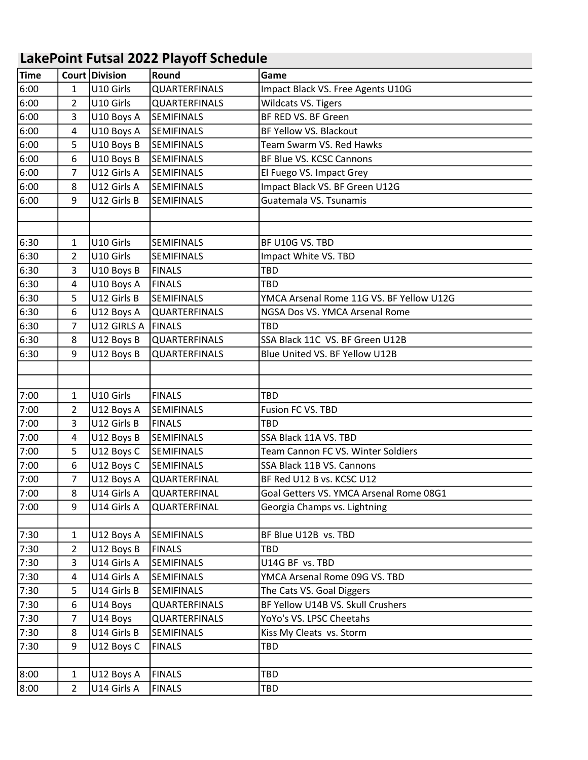## LakePoint Futsal 2022 Playoff Schedule

| <b>Time</b> |                | Court Division | Round             | Game                                     |
|-------------|----------------|----------------|-------------------|------------------------------------------|
| 6:00        | $\mathbf{1}$   | U10 Girls      | QUARTERFINALS     | Impact Black VS. Free Agents U10G        |
| 6:00        | 2              | U10 Girls      | QUARTERFINALS     | Wildcats VS. Tigers                      |
| 6:00        | 3              | U10 Boys A     | <b>SEMIFINALS</b> | BF RED VS. BF Green                      |
| 6:00        | 4              | U10 Boys A     | SEMIFINALS        | BF Yellow VS. Blackout                   |
| 6:00        | 5              | U10 Boys B     | SEMIFINALS        | Team Swarm VS. Red Hawks                 |
| 6:00        | 6              | U10 Boys B     | SEMIFINALS        | BF Blue VS. KCSC Cannons                 |
| 6:00        | 7              | U12 Girls A    | <b>SEMIFINALS</b> | El Fuego VS. Impact Grey                 |
| 6:00        | 8              | U12 Girls A    | <b>SEMIFINALS</b> | Impact Black VS. BF Green U12G           |
| 6:00        | 9              | U12 Girls B    | SEMIFINALS        | Guatemala VS. Tsunamis                   |
|             |                |                |                   |                                          |
|             |                |                |                   |                                          |
| 6:30        | 1              | U10 Girls      | SEMIFINALS        | BF U10G VS. TBD                          |
| 6:30        | 2              | U10 Girls      | SEMIFINALS        | Impact White VS. TBD                     |
| 6:30        | 3              | U10 Boys B     | <b>FINALS</b>     | TBD                                      |
| 6:30        | 4              | U10 Boys A     | <b>FINALS</b>     | <b>TBD</b>                               |
| 6:30        | 5              | U12 Girls B    | SEMIFINALS        | YMCA Arsenal Rome 11G VS. BF Yellow U12G |
| 6:30        | 6              | U12 Boys A     | QUARTERFINALS     | NGSA Dos VS. YMCA Arsenal Rome           |
| 6:30        | 7              | U12 GIRLS A    | FINALS            | <b>TBD</b>                               |
| 6:30        | 8              | U12 Boys B     | QUARTERFINALS     | SSA Black 11C VS. BF Green U12B          |
| 6:30        | 9              | U12 Boys B     | QUARTERFINALS     | Blue United VS. BF Yellow U12B           |
|             |                |                |                   |                                          |
|             |                |                |                   |                                          |
| 7:00        | 1              | U10 Girls      | <b>FINALS</b>     | <b>TBD</b>                               |
| 7:00        | 2              | U12 Boys A     | <b>SEMIFINALS</b> | Fusion FC VS. TBD                        |
| 7:00        | 3              | U12 Girls B    | <b>FINALS</b>     | TBD                                      |
| 7:00        | 4              | U12 Boys B     | <b>SEMIFINALS</b> | SSA Black 11A VS. TBD                    |
| 7:00        | 5              | U12 Boys C     | <b>SEMIFINALS</b> | Team Cannon FC VS. Winter Soldiers       |
| 7:00        | 6              | U12 Boys C     | <b>SEMIFINALS</b> | SSA Black 11B VS. Cannons                |
| 7:00        | 7              | U12 Boys A     | QUARTERFINAL      | BF Red U12 B vs. KCSC U12                |
| 7:00        | 8              | U14 Girls A    | QUARTERFINAL      | Goal Getters VS. YMCA Arsenal Rome 08G1  |
| 7:00        | 9              | U14 Girls A    | QUARTERFINAL      | Georgia Champs vs. Lightning             |
|             |                |                |                   |                                          |
| 7:30        | 1              | U12 Boys A     | <b>SEMIFINALS</b> | BF Blue U12B vs. TBD                     |
| 7:30        | $\overline{2}$ | U12 Boys B     | <b>FINALS</b>     | <b>TBD</b>                               |
| 7:30        | 3              | U14 Girls A    | SEMIFINALS        | U14G BF vs. TBD                          |
| 7:30        | 4              | U14 Girls A    | <b>SEMIFINALS</b> | YMCA Arsenal Rome 09G VS. TBD            |
| 7:30        | 5              | U14 Girls B    | SEMIFINALS        | The Cats VS. Goal Diggers                |
| 7:30        | 6              | U14 Boys       | QUARTERFINALS     | BF Yellow U14B VS. Skull Crushers        |
| 7:30        | 7              | U14 Boys       | QUARTERFINALS     | YoYo's VS. LPSC Cheetahs                 |
| 7:30        | 8              | U14 Girls B    | SEMIFINALS        | Kiss My Cleats vs. Storm                 |
| 7:30        | 9              | U12 Boys C     | <b>FINALS</b>     | TBD                                      |
|             |                |                |                   |                                          |
| 8:00        | $\mathbf 1$    | U12 Boys A     | <b>FINALS</b>     | TBD                                      |
| 8:00        | $\overline{2}$ | U14 Girls A    | <b>FINALS</b>     | TBD                                      |